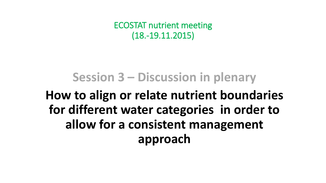ECOSTAT nutrient meeting (18.-19.11.2015)

# **Session 3 – Discussion in plenary**

# **How to align or relate nutrient boundaries for different water categories in order to allow for a consistent management approach**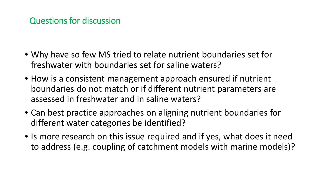#### Questions for discussion

- Why have so few MS tried to relate nutrient boundaries set for freshwater with boundaries set for saline waters?
- How is a consistent management approach ensured if nutrient boundaries do not match or if different nutrient parameters are assessed in freshwater and in saline waters?
- Can best practice approaches on aligning nutrient boundaries for different water categories be identified?
- Is more research on this issue required and if yes, what does it need to address (e.g. coupling of catchment models with marine models)?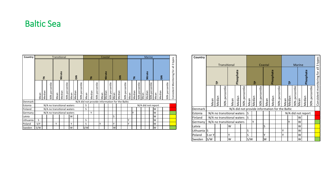#### Baltic Sea

| Country   |      |        |                            | <b>Transitional</b> |        |                |      |        |                |      |        |                |      | Coastal        |                                  |      |               |                                                | Marine |        |                |      |                |                |                    |               |                |                                                |
|-----------|------|--------|----------------------------|---------------------|--------|----------------|------|--------|----------------|------|--------|----------------|------|----------------|----------------------------------|------|---------------|------------------------------------------------|--------|--------|----------------|------|----------------|----------------|--------------------|---------------|----------------|------------------------------------------------|
|           |      | 론      |                            |                     |        | Nitrate        |      |        |                |      | 킽      |                |      | <b>Nitrate</b> |                                  |      | $\frac{2}{5}$ |                                                |        | 옽      |                |      | <b>Nitrate</b> |                |                    | $\frac{2}{5}$ |                | types<br>$\infty$<br>$\overline{\overline{6}}$ |
|           | Mean | Median | 90% percentile             | Mean                | Median | 90% percentile | Mean | Median | 90% percentile | Mean | Median | 90% percentile | Mean | Median         | rcentile<br>ω<br>$\Omega$<br>90% | Mean | Median        | 90% percentile                                 | Mean   | Median | 90% percentile | Mean | Median         | 90% percentile | Mean               | Median        | 90% percentile | Consistent Monitoring for                      |
| Denmark   |      |        |                            |                     |        |                |      |        |                |      |        |                |      |                |                                  |      |               | N/A did not provide information for the Baltic |        |        |                |      |                |                |                    |               |                |                                                |
| Estonia   |      |        | N/A no transitional waters |                     |        |                |      |        |                | S    |        |                |      |                |                                  |      |               |                                                |        |        |                |      |                |                | N/A did not report |               |                |                                                |
| Finland   |      |        | N/A no transitional waters |                     |        |                |      |        |                | S    |        |                |      |                |                                  |      |               |                                                |        |        |                |      |                |                | W                  |               |                |                                                |
| Germany   |      |        |                            | Υ                   |        |                |      |        |                |      |        |                | Υ    |                |                                  |      |               | W                                              |        |        |                |      |                |                |                    |               |                |                                                |
| Latvia    |      |        |                            |                     |        |                | W    |        |                |      |        |                |      |                |                                  | S    |               |                                                |        |        |                |      |                |                | W                  |               |                |                                                |
| Lithuania | S    |        |                            |                     |        |                |      |        |                | S    |        |                |      |                |                                  |      |               |                                                | Y      |        |                |      |                |                | W                  |               |                |                                                |
| Poland    | S/Y  |        |                            | Υ                   |        |                | Υ    |        |                | S    |        |                | γ    |                |                                  | γ    |               |                                                | γ      |        |                |      |                |                | W                  |               |                |                                                |
| Sweden    | S/W  |        |                            |                     |        | S/W            |      |        |                |      |        | W              |      |                |                                  |      |               |                                                |        |        | W              |      |                |                |                    |               |                |                                                |

| Country   |        |                   |                            |        |                |      |        |                   |                                                |         |                |      |        |                |      |               |                    |                           |             |  |
|-----------|--------|-------------------|----------------------------|--------|----------------|------|--------|-------------------|------------------------------------------------|---------|----------------|------|--------|----------------|------|---------------|--------------------|---------------------------|-------------|--|
|           |        |                   | <b>Transitional</b>        |        |                |      |        |                   |                                                | Coastal |                |      |        |                |      | <b>Marine</b> |                    |                           | all 3 types |  |
|           |        | 은                 |                            |        | Phosphate      |      |        | 욘                 |                                                |         | Phosphate      |      |        | 은              |      |               | Phosphate          |                           |             |  |
|           | Mean   | percentile<br>90% | Mean                       | Median | 90% percentile | Mean | Median | percentile<br>90% | Mean                                           | Median  | 90% percentile | Mean | Median | 90% percentile | Mean | Median        | 90% percentile     | Consistent monitoring for |             |  |
| Denmark   |        |                   |                            |        |                |      |        |                   | N/A did not provide information for the Baltic |         |                |      |        |                |      |               |                    |                           |             |  |
| Estonia   |        |                   | N/A no transitional waters |        |                |      | lS     |                   |                                                |         |                |      |        |                |      |               | N/A did not report |                           |             |  |
| Finland   |        |                   | N/A no transitional waters |        |                |      | S      |                   |                                                |         |                |      |        |                |      | W             |                    |                           |             |  |
| Germany   |        |                   | N/A no transitional waters |        |                |      |        | Υ                 |                                                |         |                |      |        | Υ              |      | W             |                    |                           |             |  |
| Latvia    |        |                   |                            | W      |                |      |        |                   |                                                | S       |                |      |        |                |      | W             |                    |                           |             |  |
| Lithuania | ls.    |                   |                            |        |                |      | S      |                   |                                                |         |                |      | Υ      |                |      | W             |                    |                           |             |  |
| Poland    | S or Y |                   |                            | Υ      |                |      | S      |                   |                                                | Υ       |                |      | Υ      |                |      | W             |                    |                           |             |  |
| Sweden    | S/W    |                   |                            | W      |                |      | S/W    |                   |                                                | W       |                |      |        |                |      | W             |                    |                           |             |  |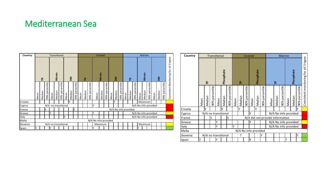### Mediterranean Sea

| Country  |                     |        |                   |                             | <b>Transitional</b> |                   |      |        |                | Coastal                   |         |                |      |         |                |      |        |                      | <b>Marine</b> |        |                |                      |         |                   |      |                 |                   |                           |
|----------|---------------------|--------|-------------------|-----------------------------|---------------------|-------------------|------|--------|----------------|---------------------------|---------|----------------|------|---------|----------------|------|--------|----------------------|---------------|--------|----------------|----------------------|---------|-------------------|------|-----------------|-------------------|---------------------------|
|          |                     | 킽      |                   | Nitrate<br>$\sum_{i=1}^{n}$ |                     |                   |      | 옽      |                |                           | Nitrate |                |      |         | $rac{2}{5}$    |      |        | 킽                    |               |        | <b>Nitrate</b> |                      |         | $rac{2}{5}$       |      | types<br>$\sim$ |                   |                           |
|          | Mean                | Median | percentile<br>90% | Mean                        | Median              | percentile<br>90% | Mean | Median | 90% percentile | Mean                      | Median  | 90% percentile | Mean | Median  | 90% percentile | Mean | Median | 90% percentile       | Mean          | Median | 90% percentile | Mean                 | Median  | percentile<br>90% | Mean | Median          | percentile<br>90% | Consistent Monitoring for |
| Croatia  |                     |        |                   |                             |                     |                   |      | Υ      |                |                           |         |                |      |         |                |      | Υ      |                      |               |        |                |                      | Maximum |                   |      |                 |                   |                           |
| Cyprus   |                     |        |                   | N/A no transitional         |                     |                   |      |        |                |                           |         |                | γ    |         |                |      |        |                      |               |        |                | N/A No info provided |         |                   |      |                 |                   |                           |
| France   |                     |        | S                 |                             |                     |                   |      |        | ls             |                           |         |                |      |         |                |      |        | N/A No info provided |               |        |                |                      |         |                   |      |                 |                   |                           |
| Greece   | ۷                   |        |                   |                             |                     |                   |      |        |                | γ<br>N/A No info provided |         |                |      |         |                |      |        |                      |               |        |                |                      |         |                   |      |                 |                   |                           |
| Italy    | γ                   |        |                   |                             |                     |                   |      |        |                | N/A No info provided      |         |                |      |         |                |      |        |                      |               |        |                |                      |         |                   |      |                 |                   |                           |
| Malta    |                     |        |                   |                             |                     |                   |      |        |                | N/A No info provided      |         |                |      |         |                |      |        |                      |               |        |                |                      |         |                   |      |                 |                   |                           |
| Slovenia | N/A no transitional |        |                   |                             |                     |                   |      |        |                |                           |         |                |      | Maximum |                |      |        |                      |               |        |                |                      | Maximum |                   |      |                 |                   |                           |
| Spain    | γ<br>γ              |        |                   |                             |                     |                   |      |        |                |                           |         |                | ٧    |         |                |      |        |                      |               |        |                | ς                    |         |                   |      |                 |                   |                           |

| Country  |                     |                | <b>Transitional</b> |      |        |                   |      |                      |                   | Coastal   |        |                   |                                 |        |                   |                      |                      |                   |                           |  |  |
|----------|---------------------|----------------|---------------------|------|--------|-------------------|------|----------------------|-------------------|-----------|--------|-------------------|---------------------------------|--------|-------------------|----------------------|----------------------|-------------------|---------------------------|--|--|
|          |                     | Phosphate<br>은 |                     |      |        |                   |      | 은                    |                   | Phosphate |        |                   |                                 | 욘      |                   |                      | Phosphate            |                   | 3 types<br>$\equiv$       |  |  |
|          | Mean                | Median         | 90% percentile      | Mean | Median | percentile<br>90% | Mean | Median               | percentile<br>90% | Mean      | Median | percentile<br>90% | Mean                            | Median | percentile<br>90% | Mean                 | Median               | percentile<br>90% | Consistent monitoring for |  |  |
| Croatia  |                     | γ              |                     |      | γ      |                   |      | Υ                    |                   |           | Υ      |                   |                                 |        |                   |                      |                      | γ                 |                           |  |  |
| Cyprus   |                     |                | N/A no transitional |      |        |                   |      | Υ                    |                   |           |        |                   |                                 |        |                   | N/A No info provided |                      |                   |                           |  |  |
| France   |                     |                | S                   |      |        | S                 |      |                      |                   |           |        |                   | N/A did not provide information |        |                   |                      |                      |                   |                           |  |  |
| Greece   |                     |                |                     | Υ    |        |                   |      |                      |                   | Υ         |        |                   |                                 |        |                   |                      | N/A No info provided |                   |                           |  |  |
| Italy    |                     |                |                     | Y    |        |                   | Υ    |                      |                   |           |        |                   |                                 |        |                   |                      | N/A No info provided |                   |                           |  |  |
| Malta    |                     |                |                     |      |        |                   |      | N/A No info provided |                   |           |        |                   |                                 |        |                   |                      |                      |                   |                           |  |  |
| Slovenia | N/A no transitional |                |                     |      |        |                   |      | ?                    |                   |           |        | Υ                 |                                 |        |                   |                      |                      | Y                 |                           |  |  |
| Spain    | Υ                   |                |                     | Υ    |        |                   |      |                      |                   | Y         |        |                   |                                 |        |                   | ŗ                    |                      |                   |                           |  |  |